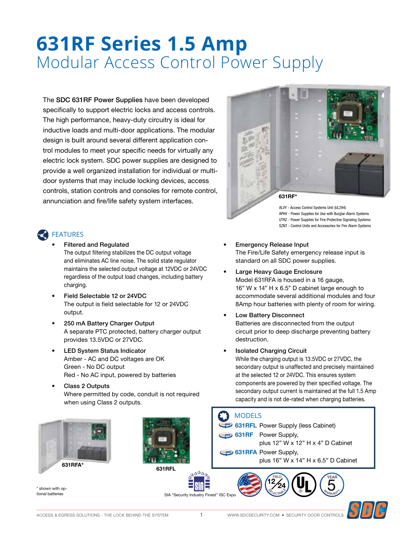# **631RF Series 1.5 Amp** Modular Access Control Power Supply

The SDC 631RF Power Supplies have been developed specifically to support electric locks and access controls. The high performance, heavy-duty circuitry is ideal for inductive loads and multi-door applications. The modular design is built around several different application control modules to meet your specific needs for virtually any electric lock system. SDC power supplies are designed to provide a well organized installation for individual or multidoor systems that may include locking devices, access controls, station controls and consoles for remote control, annunciation and fire/life safety system interfaces.

## FEATURES

- Filtered and Regulated The output filtering stabilizes the DC output voltage and eliminates AC line noise. The solid state regulator maintains the selected output voltage at 12VDC or 24VDC regardless of the output load changes, including battery charging.
- Field Selectable 12 or 24VDC The output is field selectable for 12 or 24VDC output.
- 250 mA Battery Charger Output A separate PTC protected, battery charger output provides 13.5VDC or 27VDC.
- **LED System Status Indicator** Amber - AC and DC voltages are OK Green - No DC output Red - No AC input, powered by batteries
- Class 2 Outputs Where permitted by code, conduit is not required when using Class 2 outputs.



\* shown with optional batteries



**631RFL**



UTRZ - Power Supplies for Fire-Protective Signaling Systems SZNT - Control Units and Accessories for Fire Alarm Systems

- Emergency Release Input The Fire/Life Safety emergency release input is standard on all SDC power supplies.
- Large Heavy Gauge Enclosure Model 631RFA is housed in a 16 gauge, 16" W x 14" H x 6.5" D cabinet large enough to accommodate several additional modules and four 8Amp hour batteries with plenty of room for wiring.
	- Low Battery Disconnect Batteries are disconnected from the output circuit prior to deep discharge preventing battery destruction.
- Isolated Charging Circuit

While the charging output is 13.5VDC or 27VDC, the secondary output is unaffected and precisely maintained at the selected 12 or 24VDC. This ensures system components are powered by their specified voltage. The secondary output current is maintained at the full 1.5 Amp capacity and is not de-rated when charging batteries.

## MODELS

**631RFL** Power Supply (less Cabinet)

**631RF** Power Supply,

plus 12" W x 12" H x 4" D Cabinet

## **631RFA** Power Supply,

plus 16" W x 14" H x 6.5" D Cabinet

**WARRANTY** YEAR SEL ECTABLE  $\mathcal{L}_{24}^{HED}\left(\mathbf{U}_{\blacksquare}\right)\left(\mathbf{5}\atop{\text{200}}\right)$  $^{12}/_{24}$ 



SIA "Security Industry Finest" ISC Expo